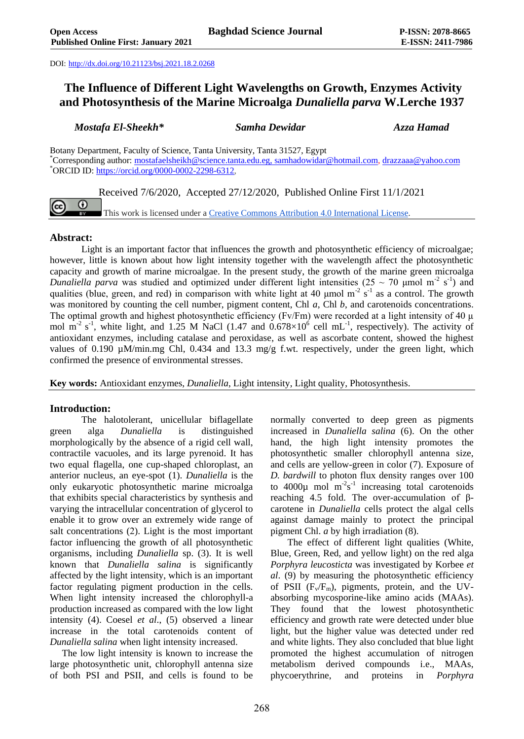DOI: <http://dx.doi.org/10.21123/bsj.2021.18.2.0268>

# **The Influence of Different Light Wavelengths on Growth, Enzymes Activity and Photosynthesis of the Marine Microalga** *Dunaliella parva* **W.Lerche 1937**

*Mostafa El-Sheekh\* Samha Dewidar Azza Hamad*

Botany Department, Faculty of Science, Tanta University, Tanta 31527, Egypt \*Corresponding author: [mostafaelsheikh@science.tanta.edu.eg,](mailto:mostafaelsheikh@science.tanta.edu.eg) [samhadowidar@hotmail.com,](mailto:samhadowidar@hotmail.com) [drazzaaa@yahoo.com](mailto:drazzaaa@yahoo.com) \*ORCID ID: [https://orcid.org/0000-0002-2298-6312,](https://orcid.org/0000-0002-2298-6312) 

Received 7/6/2020, Accepted 27/12/2020, Published Online First 11/1/2021

This work is licensed under a [Creative Commons Attribution 4.0 International License.](https://creativecommons.org/licenses/by/4.0/)

## **Abstract:**

 $\boldsymbol{\omega}$ 

Light is an important factor that influences the growth and photosynthetic efficiency of microalgae; however, little is known about how light intensity together with the wavelength affect the photosynthetic capacity and growth of marine microalgae. In the present study, the growth of the marine green microalga Dunaliella parva was studied and optimized under different light intensities ( $25 \sim 70$  µmol m<sup>-2</sup> s<sup>-1</sup>) and qualities (blue, green, and red) in comparison with white light at 40  $\mu$ mol m<sup>-2</sup> s<sup>-1</sup> as a control. The growth was monitored by counting the cell number, pigment content, Chl *a*, Chl *b*, and carotenoids concentrations. The optimal growth and highest photosynthetic efficiency (Fv/Fm) were recorded at a light intensity of 40 μ mol  $m^{-2}$  s<sup>-1</sup>, white light, and 1.25 M NaCl (1.47 and 0.678×10<sup>6</sup> cell mL<sup>-1</sup>, respectively). The activity of antioxidant enzymes, including catalase and peroxidase, as well as ascorbate content, showed the highest values of 0.190  $\mu$ M/min.mg Chl, 0.434 and 13.3 mg/g f.wt. respectively, under the green light, which confirmed the presence of environmental stresses.

**Key words:** Antioxidant enzymes, *Dunaliella*, Light intensity, Light quality, Photosynthesis.

## **Introduction:**

The halotolerant, unicellular biflagellate green alga *Dunaliella* is distinguished morphologically by the absence of a rigid cell wall, contractile vacuoles, and its large pyrenoid. It has two equal flagella, one cup-shaped chloroplast, an anterior nucleus, an eye-spot (1). *Dunaliella* is the only eukaryotic photosynthetic marine microalga that exhibits special characteristics by synthesis and varying the intracellular concentration of glycerol to enable it to grow over an extremely wide range of salt concentrations (2). Light is the most important factor influencing the growth of all photosynthetic organisms, including *Dunaliella* sp. (3). It is well known that *Dunaliella salina* is significantly affected by the light intensity, which is an important factor regulating pigment production in the cells. When light intensity increased the chlorophyll-a production increased as compared with the low light intensity (4). Coesel *et al*., (5) observed a linear increase in the total carotenoids content of *Dunaliella salina* when light intensity increased.

 The low light intensity is known to increase the large photosynthetic unit, chlorophyll antenna size of both PSI and PSII, and cells is found to be normally converted to deep green as pigments increased in *Dunaliella salina* (6). On the other hand, the high light intensity promotes the photosynthetic smaller chlorophyll antenna size, and cells are yellow-green in color (7). Exposure of *D. bardwill* to photon flux density ranges over 100 to  $4000\mu$  mol  $m^{-2}s^{-1}$  increasing total carotenoids reaching 4.5 fold. The over-accumulation of βcarotene in *Dunaliella* cells protect the algal cells against damage mainly to protect the principal pigment Chl. *a* by high irradiation (8).

 The effect of different light qualities (White, Blue, Green, Red, and yellow light) on the red alga *Porphyra leucosticta* was investigated by Korbee *et al*. (9) by measuring the photosynthetic efficiency of PSII  $(F_v/F_m)$ , pigments, protein, and the UVabsorbing mycosporine-like amino acids (MAAs). They found that the lowest photosynthetic efficiency and growth rate were detected under blue light, but the higher value was detected under red and white lights. They also concluded that blue light promoted the highest accumulation of nitrogen metabolism derived compounds i.e., MAAs, phycoerythrine, and proteins in *Porphyra*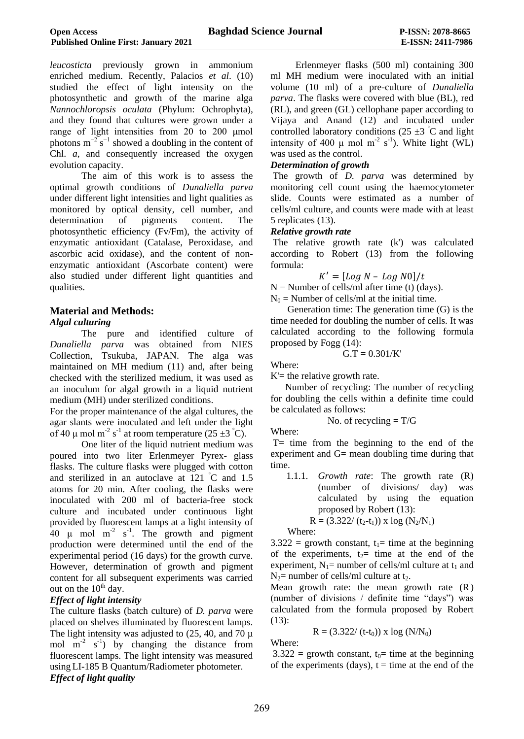*leucosticta* previously grown in ammonium enriched medium. Recently, Palacios *et al*. (10) studied the effect of light intensity on the photosynthetic and growth of the marine alga *Nannochloropsis oculata* (Phylum: [Ochrophyta\)](https://en.wikipedia.org/wiki/Ochrophyta), and they found that cultures were grown under a range of light intensities from 20 to 200 μmol photons  $m^{-2}$  s<sup>-1</sup> showed a doubling in the content of Chl. *a*, and consequently increased the oxygen evolution capacity.

The aim of this work is to assess the optimal growth conditions of *Dunaliella parva* under different light intensities and light qualities as monitored by optical density, cell number, and determination of pigments content. The photosynthetic efficiency (Fv/Fm), the activity of enzymatic antioxidant (Catalase, Peroxidase, and ascorbic acid oxidase), and the content of nonenzymatic antioxidant (Ascorbate content) were also studied under different light quantities and qualities.

## **Material and Methods:**

## *Algal culturing*

The pure and identified culture of *Dunaliella parva* was obtained from NIES Collection, Tsukuba, JAPAN. The alga was maintained on MH medium (11) and, after being checked with the sterilized medium, it was used as an inoculum for algal growth in a liquid nutrient medium (MH) under sterilized conditions.

For the proper maintenance of the algal cultures, the agar slants were inoculated and left under the light of 40  $\mu$  mol m<sup>-2</sup> s<sup>-1</sup> at room temperature (25 ±3 °C).

One liter of the liquid nutrient medium was poured into two liter Erlenmeyer Pyrex- glass flasks. The culture flasks were plugged with cotton and sterilized in an autoclave at  $121 \text{ }^{\circ}$ C and  $1.5$ atoms for 20 min. After cooling, the flasks were inoculated with 200 ml of bacteria-free stock culture and incubated under continuous light provided by fluorescent lamps at a light intensity of 40  $\mu$  mol m<sup>-2</sup> s<sup>-1</sup>. The growth and pigment production were determined until the end of the experimental period (16 days) for the growth curve. However, determination of growth and pigment content for all subsequent experiments was carried out on the  $10<sup>th</sup>$  day.

## *Effect of light intensity*

The culture flasks (batch culture) of *D. parva* were placed on shelves illuminated by fluorescent lamps. The light intensity was adjusted to  $(25, 40, \text{ and } 70 \mu)$ mol  $m^{-2}$  s<sup>-1</sup>) by changing the distance from fluorescent lamps. The light intensity was measured using LI-185 B Quantum/Radiometer photometer. *Effect of light quality*

Erlenmeyer flasks (500 ml) containing 300 ml MH medium were inoculated with an initial volume (10 ml) of a pre-culture of *Dunaliella parva*. The flasks were covered with blue (BL), red (RL), and green (GL) cellophane paper according to Vijaya and Anand (12) and incubated under controlled laboratory conditions (25  $\pm$ 3 °C and light intensity of 400  $\mu$  mol m<sup>-2</sup> s<sup>-1</sup>). White light (WL) was used as the control.

#### *Determination of growth*

The growth of *D. parva* was determined by monitoring cell count using the haemocytometer slide. Counts were estimated as a number of cells/ml culture, and counts were made with at least 5 replicates (13).

#### *Relative growth rate*

The relative growth rate (k') was calculated according to Robert (13) from the following formula:

$$
K'=[Log\ N-Log\ N0]/t
$$

 $N =$  Number of cells/ml after time (t) (days).  $N_0$  = Number of cells/ml at the initial time.

 Generation time: The generation time (G) is the time needed for doubling the number of cells. It was calculated according to the following formula proposed by Fogg (14):

$$
G.T=0.301/K^{\prime}
$$

Where:

 $K'$  = the relative growth rate.

 Number of recycling: The number of recycling for doubling the cells within a definite time could be calculated as follows:

No. of recycling = 
$$
T/G
$$

Where:

T= time from the beginning to the end of the experiment and G= mean doubling time during that time.

1.1.1. *Growth rate*: The growth rate (R) (number of divisions/ day) was calculated by using the equation proposed by Robert (13):

 $R = (3.322/(t_2-t_1)) \times \log(N_2/N_1)$ 

Where:

 $3.322 =$  growth constant,  $t_1$ = time at the beginning of the experiments,  $t<sub>2</sub>$  time at the end of the experiment,  $N_1$ = number of cells/ml culture at t<sub>1</sub> and  $N_2$ = number of cells/ml culture at t<sub>2</sub>.

Mean growth rate: the mean growth rate  $(R)$ (number of divisions / definite time "days") was calculated from the formula proposed by Robert (13):

$$
R = (3.322/(t-t_0)) \times \log (N/N_0)
$$

Where:

 $3.322 =$  growth constant,  $t_0$ = time at the beginning of the experiments (days),  $t =$  time at the end of the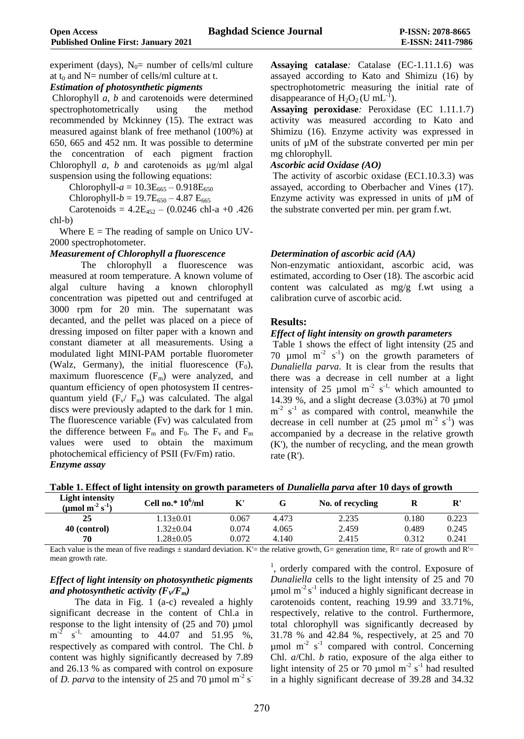experiment (days),  $N_0$ = number of cells/ml culture at  $t_0$  and  $N=$  number of cells/ml culture at t.

#### *Estimation of photosynthetic pigments*

Chlorophyll *a, b* and carotenoids were determined spectrophotometrically using the method recommended by Mckinney (15). The extract was measured against blank of free methanol (100%) at 650, 665 and 452 nm. It was possible to determine the concentration of each pigment fraction Chlorophyll *a, b* and carotenoids as μg/ml algal suspension using the following equations:

Chlorophyll- $a = 10.3E_{665} - 0.918E_{650}$ 

Chlorophyll- $b = 19.7E_{650} - 4.87E_{665}$ 

Carotenoids =  $4.2E_{452} - (0.0246 \text{ chl-a } +0.426)$ chl-b)

Where  $E =$  The reading of sample on Unico UV-2000 spectrophotometer.

#### *Measurement of Chlorophyll a fluorescence*

The chlorophyll a fluorescence was measured at room temperature. A known volume of algal culture having a known chlorophyll concentration was pipetted out and centrifuged at 3000 rpm for 20 min. The supernatant was decanted, and the pellet was placed on a piece of dressing imposed on filter paper with a known and constant diameter at all measurements. Using a modulated light MINI-PAM portable fluorometer (Walz, Germany), the initial fluorescence  $(F_0)$ , maximum fluorescence  $(F_m)$  were analyzed, and quantum efficiency of open photosystem II centresquantum yield  $(F_v / F_m)$  was calculated. The algal discs were previously adapted to the dark for 1 min. The fluorescence variable (Fv) was calculated from the difference between  $F_m$  and  $F_0$ . The  $F_v$  and  $F_m$ values were used to obtain the maximum photochemical efficiency of PSII (Fv/Fm) ratio. *Enzyme assay*

**Assaying catalase***:* Catalase (EC-1.11.1.6) was assayed according to Kato and Shimizu (16) by spectrophotometric measuring the initial rate of disappearance of  $H_2O_2$  (U mL<sup>-1</sup>).

**Assaying peroxidase***:* Peroxidase (EC 1.11.1.7) activity was measured according to Kato and Shimizu (16). Enzyme activity was expressed in units of µM of the substrate converted per min per mg chlorophyll.

#### *Ascorbic acid Oxidase (AO)*

The activity of ascorbic oxidase (EC1.10.3.3) was assayed, according to Oberbacher and Vines (17). Enzyme activity was expressed in units of µM of the substrate converted per min. per gram f.wt.

#### *Determination of ascorbic acid (AA)*

Non-enzymatic antioxidant, ascorbic acid, was estimated, according to Oser (18). The ascorbic acid content was calculated as mg/g f.wt using a calibration curve of ascorbic acid.

#### **Results:**

#### *Effect of light intensity on growth parameters*

Table 1 shows the effect of light intensity (25 and 70  $\mu$ mol m<sup>-2</sup> s<sup>-1</sup>) on the growth parameters of *Dunaliella parva*. It is clear from the results that there was a decrease in cell number at a light intensity of 25  $\mu$ mol m<sup>-2</sup> s<sup>-1,</sup> which amounted to 14.39 %, and a slight decrease (3.03%) at 70 µmol  $m<sup>-2</sup>$  s<sup>-1</sup> as compared with control, meanwhile the decrease in cell number at  $(25 \text{ µmol m}^{-2} \text{ s}^{-1})$  was accompanied by a decrease in the relative growth (K'), the number of recycling, and the mean growth rate (R').

|  |  |  |  | Table 1. Effect of light intensity on growth parameters of <i>Dunaliella parva</i> after 10 days of growth |  |  |
|--|--|--|--|------------------------------------------------------------------------------------------------------------|--|--|
|--|--|--|--|------------------------------------------------------------------------------------------------------------|--|--|

| <b>Light intensity</b><br>(µmol m <sup>-2</sup> s <sup>-1</sup> ) | Cell no.* $10^6$ /ml | K'    |       | No. of recycling | $\mathbf R$ | ${\bf R}'$ |
|-------------------------------------------------------------------|----------------------|-------|-------|------------------|-------------|------------|
| 25                                                                | $.13 \pm 0.01$       | 0.067 | 4.473 | 2.235            | 0.180       | 0.223      |
| 40 (control)                                                      | $1.32 \pm 0.04$      | 0.074 | 4.065 | 2.459            | 0.489       | 0.245      |
| 70                                                                | $.28 \pm 0.05$       | 0.072 | 4.140 | 2.415            | 0.312       | 0.241      |

Each value is the mean of five readings  $\pm$  standard deviation. K'= the relative growth, G= generation time, R= rate of growth and R'= mean growth rate.

## *Effect of light intensity on photosynthetic pigments and photosynthetic activity*  $(F_V/F_m)$

The data in Fig. 1 (a-c) revealed a highly significant decrease in the content of Chl.a in response to the light intensity of  $(25 \text{ and } 70)$  µmol  $m^{-2}$  s<sup>-1,</sup> amounting to 44.07 and 51.95 %, respectively as compared with control. The Chl. *b* content was highly significantly decreased by 7.89 and 26.13 % as compared with control on exposure of *D. parva* to the intensity of 25 and 70  $\mu$ mol m<sup>-2</sup> s<sup>-</sup>

<sup>1</sup>, orderly compared with the control. Exposure of *Dunaliella* cells to the light intensity of 25 and 70  $\mu$ mol m<sup>-2</sup> s<sup>-1</sup> induced a highly significant decrease in carotenoids content, reaching 19.99 and 33.71%, respectively, relative to the control. Furthermore, total chlorophyll was significantly decreased by 31.78 % and 42.84 %, respectively, at 25 and 70  $\mu$ mol m<sup>-2</sup> s<sup>-1</sup> compared with control. Concerning Chl. *a*/Chl. *b* ratio, exposure of the alga either to light intensity of 25 or  $70 \text{ \mu}$  mol m<sup>-2</sup> s<sup>-1</sup> had resulted in a highly significant decrease of 39.28 and 34.32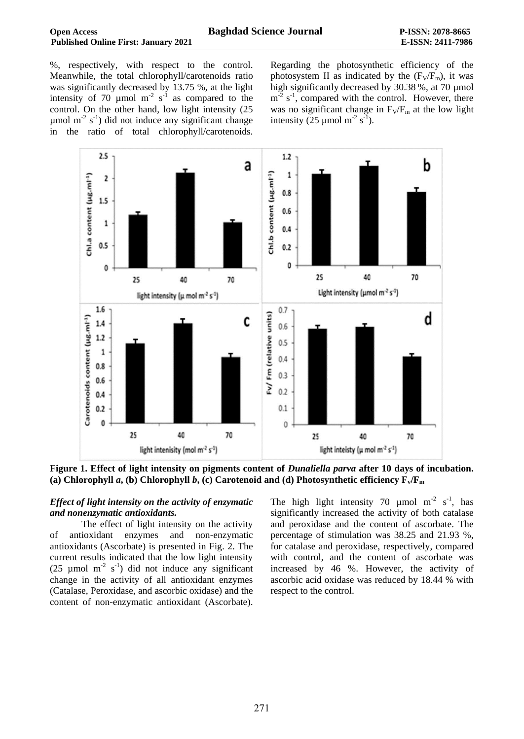%, respectively, with respect to the control. Meanwhile, the total chlorophyll/carotenoids ratio was significantly decreased by 13.75 %, at the light intensity of 70 µmol  $m<sup>-2</sup>$  s<sup>-1</sup> as compared to the control. On the other hand, low light intensity (25  $\mu$ mol m<sup>-2</sup> s<sup>-1</sup>) did not induce any significant change in the ratio of total chlorophyll/carotenoids.

Regarding the photosynthetic efficiency of the photosystem II as indicated by the  $(F_V/F_m)$ , it was high significantly decreased by 30.38 %, at 70 µmol  $m<sup>-2</sup>$  s<sup>-1</sup>, compared with the control. However, there was no significant change in  $F_V/F_m$  at the low light intensity (25  $\mu$ mol m<sup>-2</sup> s<sup>-1</sup>).



**Figure 1. Effect of light intensity on pigments content of** *Dunaliella parva* **after 10 days of incubation. (a) Chlorophyll** *a***, (b) Chlorophyll** *b***, (c) Carotenoid and (d) Photosynthetic efficiency Fv/F<sup>m</sup>**

#### *Effect of light intensity on the activity of enzymatic and nonenzymatic antioxidants.*

The effect of light intensity on the activity of antioxidant enzymes and non-enzymatic antioxidants (Ascorbate) is presented in Fig. 2. The current results indicated that the low light intensity (25 µmol  $m<sup>-2</sup> s<sup>-1</sup>$ ) did not induce any significant change in the activity of all antioxidant enzymes (Catalase, Peroxidase, and ascorbic oxidase) and the content of non-enzymatic antioxidant (Ascorbate).

The high light intensity 70  $\mu$ mol m<sup>-2</sup> s<sup>-1</sup>, has significantly increased the activity of both catalase and peroxidase and the content of ascorbate. The percentage of stimulation was 38.25 and 21.93 %, for catalase and peroxidase, respectively, compared with control, and the content of ascorbate was increased by 46 %. However, the activity of ascorbic acid oxidase was reduced by 18.44 % with respect to the control.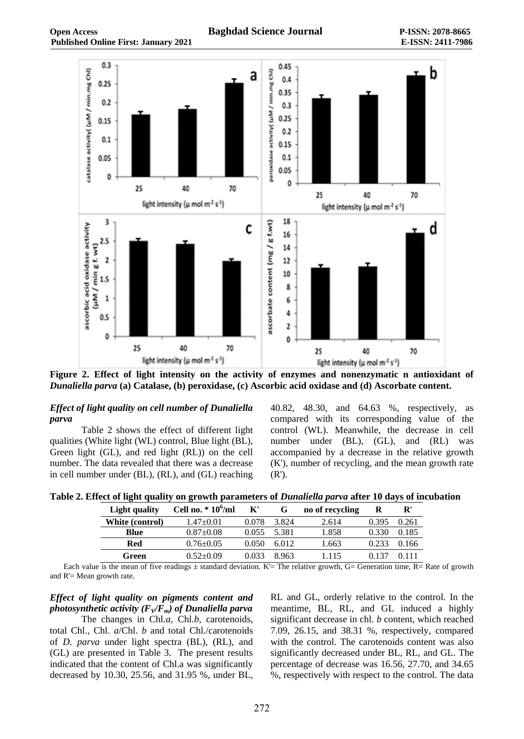

**Figure 2. Effect of light intensity on the activity of enzymes and nonenzymatic n antioxidant of**  *Dunaliella parva* **(a) Catalase, (b) peroxidase, (c) Ascorbic acid oxidase and (d) Ascorbate content.**

#### *Effect of light quality on cell number of Dunaliella parva*

Table 2 shows the effect of different light qualities (White light (WL) control, Blue light (BL), Green light (GL), and red light (RL)) on the cell number. The data revealed that there was a decrease in cell number under (BL), (RL), and (GL) reaching

40.82, 48.30, and 64.63 %, respectively, as compared with its corresponding value of the control (WL). Meanwhile, the decrease in cell number under (BL), (GL), and (RL) was accompanied by a decrease in the relative growth (K'), number of recycling, and the mean growth rate (R').

|  |  |  |  | Table 2. Effect of light quality on growth parameters of <i>Dunaliella parva</i> after 10 days of incubation |  |  |
|--|--|--|--|--------------------------------------------------------------------------------------------------------------|--|--|
|--|--|--|--|--------------------------------------------------------------------------------------------------------------|--|--|

| Light quality   | Cell no. $*10^6$ /ml | $\mathbf{K}^{\prime}$ | G     | no of recycling | R     | ${\bf R}'$ |
|-----------------|----------------------|-----------------------|-------|-----------------|-------|------------|
| White (control) | 1.47±0.01            | 0.078                 | 3.824 | 2.614           | 0.395 | 0.261      |
| Blue            | $0.87+0.08$          | 0.055                 | 5.381 | 1.858           | 0.330 | 0.185      |
| Red             | $0.76 \pm 0.05$      | 0.050                 | 6.012 | 1.663           | 0.233 | 0.166      |
| Green           | $0.52 + 0.09$        | 0.033                 | 8963  | 1.115           | 0.137 | 0.111      |

Each value is the mean of five readings  $\pm$  standard deviation. K'= The relative growth, G= Generation time, R= Rate of growth and R'= Mean growth rate.

*Effect of light quality on pigments content and photosynthetic activity*  $(F_V/F_m)$  *of Dunaliella parva* 

The changes in Chl.*a*, Chl.*b*, carotenoids, total Chl., Chl. *a*/Chl. *b* and total Chl./carotenoids of *D. parva* under light spectra (BL), (RL), and (GL) are presented in Table 3. The present results indicated that the content of Chl.a was significantly decreased by 10.30, 25.56, and 31.95 %, under BL,

RL and GL, orderly relative to the control. In the meantime, BL, RL, and GL induced a highly significant decrease in chl. *b* content, which reached 7.09, 26.15, and 38.31 %, respectively, compared with the control. The carotenoids content was also significantly decreased under BL, RL, and GL. The percentage of decrease was 16.56, 27.70, and 34.65 %, respectively with respect to the control. The data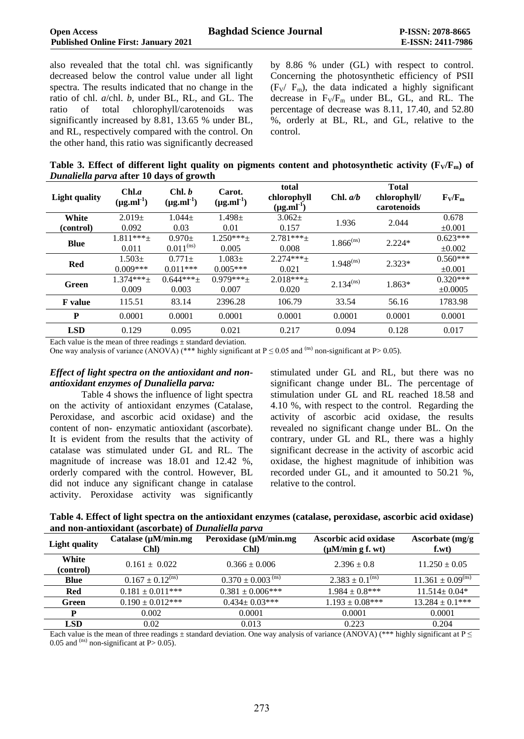**Published Online First: January 2021 E-ISSN: 2411-7986** also revealed that the total chl. was significantly

decreased below the control value under all light spectra. The results indicated that no change in the ratio of chl. *a*/chl. *b*, under BL, RL, and GL. The ratio of total chlorophyll/carotenoids was significantly increased by 8.81, 13.65 % under BL, and RL, respectively compared with the control. On the other hand, this ratio was significantly decreased by 8.86 % under (GL) with respect to control. Concerning the photosynthetic efficiency of PSII  $(F_V / F_m)$ , the data indicated a highly significant decrease in  $F_V/F_m$  under BL, GL, and RL. The percentage of decrease was 8.11, 17.40, and 52.80 %, orderly at BL, RL, and GL, relative to the control.

**Table 3. Effect of different light quality on pigments content and photosynthetic activity (** $\mathbf{F}_V/\mathbf{F}_m$ **) of** *Dunaliella parva* **after 10 days of growth**

| <b>Light quality</b> | Chl.a<br>$(\mu g.ml^{-1})$ | Chl. b<br>$(\mu g.ml^{-1})$ | Carot.<br>$(\mu g.ml^{-1})$ | total<br>chlorophyll<br>$(\mu g.ml^{-1})$ | Chl. $a/b$     | <b>Total</b><br>chlorophyll/<br>carotenoids | $F_V/F_m$    |
|----------------------|----------------------------|-----------------------------|-----------------------------|-------------------------------------------|----------------|---------------------------------------------|--------------|
| White                | $2.019+$                   | $1.044 +$                   | $1.498 +$                   | $3.062+$                                  | 1.936          | 2.044                                       | 0.678        |
| (control)            | 0.092                      | 0.03                        | 0.01                        | 0.157                                     |                |                                             | $\pm 0.001$  |
| <b>Blue</b>          | $1.811***+$                | $0.970+$                    | $1.250***+$                 | $2.781***$                                | $1.866^{(ns)}$ | $2.224*$                                    | $0.623***$   |
|                      | 0.011                      | $0.011^{(ns)}$              | 0.005                       | 0.008                                     |                |                                             | $\pm 0.002$  |
| Red                  | $1.503\pm$                 | $0.771 \pm$                 | $1.083+$                    | $2.274***+$                               | $1.948^{(ns)}$ | $2.323*$                                    | $0.560***$   |
|                      | $0.009***$                 | $0.011***$                  | $0.005***$                  | 0.021                                     |                |                                             | $\pm 0.001$  |
| Green                | $1.374***+$                | $0.644***$                  | $0.979***$                  | $2.018***$                                | $2.134^{(ns)}$ | $1.863*$                                    | $0.320***$   |
|                      | 0.009                      | 0.003                       | 0.007                       | 0.020                                     |                |                                             | $\pm 0.0005$ |
| <b>F</b> value       | 115.51                     | 83.14                       | 2396.28                     | 106.79                                    | 33.54          | 56.16                                       | 1783.98      |
| P                    | 0.0001                     | 0.0001                      | 0.0001                      | 0.0001                                    | 0.0001         | 0.0001                                      | 0.0001       |
| <b>LSD</b>           | 0.129                      | 0.095                       | 0.021                       | 0.217                                     | 0.094          | 0.128                                       | 0.017        |

Each value is the mean of three readings  $\pm$  standard deviation.

One way analysis of variance  $(ANOV\AA)$  (\*\*\* highly significant at P  $\leq$  0.05 and <sup>(ns)</sup> non-significant at P > 0.05).

#### *Effect of light spectra on the antioxidant and nonantioxidant enzymes of Dunaliella parva:*

Table 4 shows the influence of light spectra on the activity of antioxidant enzymes (Catalase, Peroxidase, and ascorbic acid oxidase) and the content of non- enzymatic antioxidant (ascorbate). It is evident from the results that the activity of catalase was stimulated under GL and RL. The magnitude of increase was 18.01 and 12.42 %, orderly compared with the control. However, BL did not induce any significant change in catalase activity. Peroxidase activity was significantly

stimulated under GL and RL, but there was no significant change under BL. The percentage of stimulation under GL and RL reached 18.58 and 4.10 %, with respect to the control. Regarding the activity of ascorbic acid oxidase, the results revealed no significant change under BL. On the contrary, under GL and RL, there was a highly significant decrease in the activity of ascorbic acid oxidase, the highest magnitude of inhibition was recorded under GL, and it amounted to 50.21 %, relative to the control.

| Table 4. Effect of light spectra on the antioxidant enzymes (catalase, peroxidase, ascorbic acid oxidase) |  |
|-----------------------------------------------------------------------------------------------------------|--|
| and non-antioxidant (ascorbate) of <i>Dunaliella parva</i>                                                |  |

| <b>Light quality</b> | Catalase $(\mu M/min.mg)$<br>Chl) | Peroxidase (µM/min.mg<br>Chl)     | Ascorbic acid oxidase<br>$(\mu M/min g f. wt)$ | Ascorbate (mg/g)<br>f.wt)         |
|----------------------|-----------------------------------|-----------------------------------|------------------------------------------------|-----------------------------------|
| White<br>(control)   | $0.161 \pm 0.022$                 | $0.366 \pm 0.006$                 | $2.396 \pm 0.8$                                | $11.250 \pm 0.05$                 |
| Blue                 | $0.167 \pm 0.12$ <sup>(ns)</sup>  | $0.370 \pm 0.003$ <sup>(ns)</sup> | $2.383 \pm 0.1^{\text{(ns)}}$                  | $11.361 \pm 0.09$ <sup>(ns)</sup> |
| <b>Red</b>           | $0.181 \pm 0.011***$              | $0.381 \pm 0.006$ ***             | $1.984 \pm 0.8$ ***                            | $11.514 \pm 0.04*$                |
| Green                | $0.190 \pm 0.012***$              | $0.434 \pm 0.03$ ***              | $1.193 \pm 0.08$ ***                           | $13.284 \pm 0.1***$               |
| P                    | 0.002                             | 0.0001                            | 0.0001                                         | 0.0001                            |
| LSD                  | 0.02                              | 0.013                             | 0.223                                          | 0.204                             |

Each value is the mean of three readings  $\pm$  standard deviation. One way analysis of variance (ANOVA) (\*\*\* highly significant at P  $\leq$ 0.05 and  $^{(ns)}$  non-significant at P  $> 0.05$ ).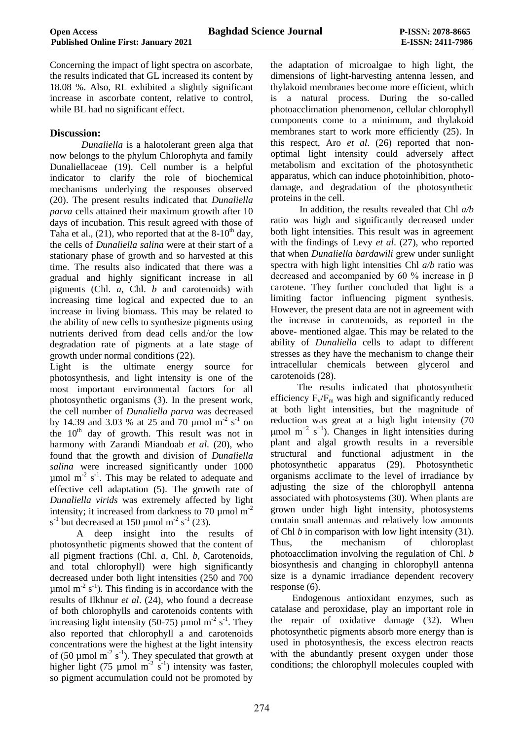Concerning the impact of light spectra on ascorbate, the results indicated that GL increased its content by 18.08 %. Also, RL exhibited a slightly significant increase in ascorbate content, relative to control, while BL had no significant effect.

## **Discussion:**

*Dunaliella* is a halotolerant green alga that now belongs to the phylum Chlorophyta and family Dunaliellaceae (19). Cell number is a helpful indicator to clarify the role of biochemical mechanisms underlying the responses observed (20). The present results indicated that *Dunaliella parva* cells attained their maximum growth after 10 days of incubation. This result agreed with those of Taha et al., (21), who reported that at the  $8-10^{th}$  day, the cells of *Dunaliella salina* were at their start of a stationary phase of growth and so harvested at this time. The results also indicated that there was a gradual and highly significant increase in all pigments (Chl. *a*, Chl. *b* and carotenoids) with increasing time logical and expected due to an increase in living biomass. This may be related to the ability of new cells to synthesize pigments using nutrients derived from dead cells and/or the low degradation rate of pigments at a late stage of growth under normal conditions (22).

Light is the ultimate energy source for photosynthesis, and light intensity is one of the most important environmental factors for all photosynthetic organisms (3). In the present work, the cell number of *Dunaliella parva* was decreased by 14.39 and 3.03 % at 25 and 70 µmol m<sup>-2</sup> s<sup>-1</sup> on the 10<sup>th</sup> day of growth. This result was not in harmony with Zarandi Miandoab *et al*. (20), who found that the growth and division of *Dunaliella salina* were increased significantly under 1000  $\mu$ mol m<sup>-2</sup> s<sup>-1</sup>. This may be related to adequate and effective cell adaptation (5). The growth rate of *Dunaliella virids* was extremely affected by light intensity; it increased from darkness to 70  $\mu$ mol m<sup>-2</sup>  $s^{-1}$  but decreased at 150 µmol m<sup>-2</sup>  $s^{-1}$  (23).

 A deep insight into the results of photosynthetic pigments showed that the content of all pigment fractions (Chl. *a*, Chl. *b*, Carotenoids, and total chlorophyll) were high significantly decreased under both light intensities (250 and 700  $\mu$ mol m<sup>-2</sup> s<sup>-1</sup>). This finding is in accordance with the results of Ilkhnur *et al*. (24), who found a decrease of both chlorophylls and carotenoids contents with increasing light intensity (50-75) µmol m<sup>-2</sup> s<sup>-1</sup>. They also reported that chlorophyll a and carotenoids concentrations were the highest at the light intensity of (50  $\mu$ mol m<sup>-2</sup> s<sup>-1</sup>). They speculated that growth at higher light (75 µmol m<sup>-2</sup> s<sup>-1</sup>) intensity was faster, so pigment accumulation could not be promoted by

the adaptation of microalgae to high light, the dimensions of light-harvesting antenna lessen, and thylakoid membranes become more efficient, which is a natural process. During the so-called photoacclimation phenomenon, cellular chlorophyll components come to a minimum, and thylakoid membranes start to work more efficiently (25). In this respect, Aro *et al*. (26) reported that nonoptimal light intensity could adversely affect metabolism and excitation of the photosynthetic apparatus, which can induce photoinhibition, photodamage, and degradation of the photosynthetic proteins in the cell.

 In addition, the results revealed that Chl *a/b* ratio was high and significantly decreased under both light intensities. This result was in agreement with the findings of Levy *et al*. (27), who reported that when *Dunaliella bardawili* grew under sunlight spectra with high light intensities Chl *a/b* ratio was decreased and accompanied by 60 % increase in β carotene. They further concluded that light is a limiting factor influencing pigment synthesis. However, the present data are not in agreement with the increase in carotenoids, as reported in the above- mentioned algae. This may be related to the ability of *Dunaliella* cells to adapt to different stresses as they have the mechanism to change their intracellular chemicals between glycerol and carotenoids (28).

 The results indicated that photosynthetic efficiency  $F_v/F_m$  was high and significantly reduced at both light intensities, but the magnitude of reduction was great at a high light intensity (70  $\mu$ mol m<sup>-2</sup> s<sup>-1</sup>). Changes in light intensities during plant and algal growth results in a reversible structural and functional adjustment in the photosynthetic apparatus (29). Photosynthetic organisms acclimate to the level of irradiance by adjusting the size of the chlorophyll antenna associated with photosystems (30). When plants are grown under high light intensity, photosystems contain small antennas and relatively low amounts of Chl *b* in comparison with low light intensity (31). Thus, the mechanism of chloroplast photoacclimation involving the regulation of Chl. *b* biosynthesis and changing in chlorophyll antenna size is a dynamic irradiance dependent recovery response (6).

 Endogenous antioxidant enzymes, such as catalase and peroxidase, play an important role in the repair of oxidative damage (32). When photosynthetic pigments absorb more energy than is used in photosynthesis, the excess electron reacts with the abundantly present oxygen under those conditions; the chlorophyll molecules coupled with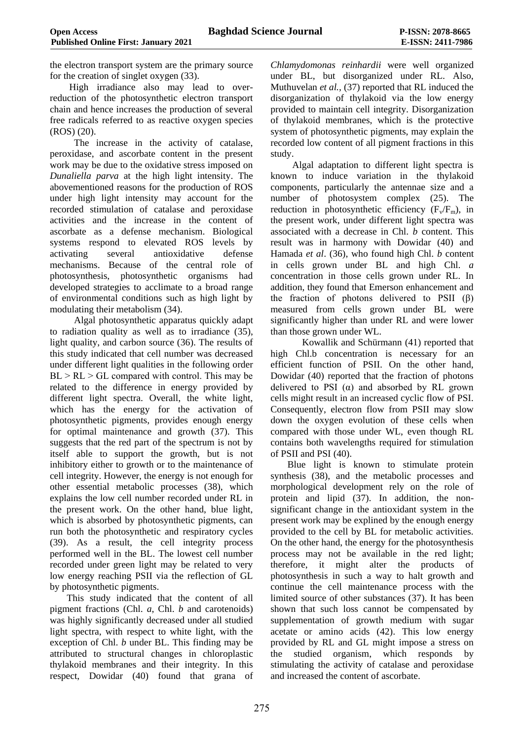the electron transport system are the primary source for the creation of singlet oxygen (33).

 High irradiance also may lead to overreduction of the photosynthetic electron transport chain and hence increases the production of several free radicals referred to as reactive oxygen species (ROS) (20).

 The increase in the activity of catalase, peroxidase, and ascorbate content in the present work may be due to the oxidative stress imposed on *Dunaliella parva* at the high light intensity. The abovementioned reasons for the production of ROS under high light intensity may account for the recorded stimulation of catalase and peroxidase activities and the increase in the content of ascorbate as a defense mechanism. Biological systems respond to elevated ROS levels by activating several antioxidative defense mechanisms. Because of the central role of photosynthesis, photosynthetic organisms had developed strategies to acclimate to a broad range of environmental conditions such as high light by modulating their metabolism (34).

 Algal photosynthetic apparatus quickly adapt to radiation quality as well as to irradiance (35), light quality, and carbon source (36). The results of this study indicated that cell number was decreased under different light qualities in the following order  $BL > RL > GL$  compared with control. This may be related to the difference in energy provided by different light spectra. Overall, the white light, which has the energy for the activation of photosynthetic pigments, provides enough energy for optimal maintenance and growth (37). This suggests that the red part of the spectrum is not by itself able to support the growth, but is not inhibitory either to growth or to the maintenance of cell integrity. However, the energy is not enough for other essential metabolic processes (38), which explains the low cell number recorded under RL in the present work. On the other hand, blue light, which is absorbed by photosynthetic pigments, can run both the photosynthetic and respiratory cycles (39). As a result, the cell integrity process performed well in the BL. The lowest cell number recorded under green light may be related to very low energy reaching PSII via the reflection of GL by photosynthetic pigments.

 This study indicated that the content of all pigment fractions (Chl. *a*, Chl. *b* and carotenoids) was highly significantly decreased under all studied light spectra, with respect to white light, with the exception of Chl. *b* under BL. This finding may be attributed to structural changes in chloroplastic thylakoid membranes and their integrity. In this respect, Dowidar (40) found that grana of

*Chlamydomonas reinhardii* were well organized under BL, but disorganized under RL. Also, Muthuvelan *et al.,* (37) reported that RL induced the disorganization of thylakoid via the low energy provided to maintain cell integrity. Disorganization of thylakoid membranes, which is the protective system of photosynthetic pigments, may explain the recorded low content of all pigment fractions in this study.

 Algal adaptation to different light spectra is known to induce variation in the thylakoid components, particularly the antennae size and a number of photosystem complex (25). The reduction in photosynthetic efficiency  $(F_v/F_m)$ , in the present work, under different light spectra was associated with a decrease in Chl. *b* content. This result was in harmony with Dowidar (40) and Hamada *et al*. (36), who found high Chl. *b* content in cells grown under BL and high Chl. *a* concentration in those cells grown under RL. In addition, they found that Emerson enhancement and the fraction of photons delivered to PSII  $(\beta)$ measured from cells grown under BL were significantly higher than under RL and were lower than those grown under WL.

Kowallik and Schürmann (41) reported that high Chl.b concentration is necessary for an efficient function of PSII. On the other hand, Dowidar (40) reported that the fraction of photons delivered to PSI  $(\alpha)$  and absorbed by RL grown cells might result in an increased cyclic flow of PSI. Consequently, electron flow from PSII may slow down the oxygen evolution of these cells when compared with those under WL, even though RL contains both wavelengths required for stimulation of PSII and PSI (40).

 Blue light is known to stimulate protein synthesis (38), and the metabolic processes and morphological development rely on the role of protein and lipid (37). In addition, the nonsignificant change in the antioxidant system in the present work may be explined by the enough energy provided to the cell by BL for metabolic activities. On the other hand, the energy for the photosynthesis process may not be available in the red light; therefore, it might alter the products of photosynthesis in such a way to halt growth and continue the cell maintenance process with the limited source of other substances (37). It has been shown that such loss cannot be compensated by supplementation of growth medium with sugar acetate or amino acids (42). This low energy provided by RL and GL might impose a stress on the studied organism, which responds by stimulating the activity of catalase and peroxidase and increased the content of ascorbate.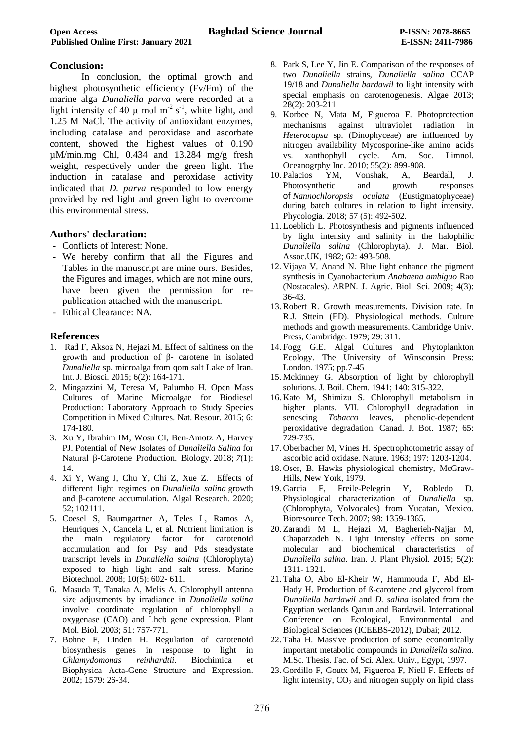## **Conclusion:**

In conclusion, the optimal growth and highest photosynthetic efficiency (Fv/Fm) of the marine alga *Dunaliella parva* were recorded at a light intensity of 40  $\mu$  mol m<sup>-2</sup> s<sup>-1</sup>, white light, and 1.25 M NaCl. The activity of antioxidant enzymes, including catalase and peroxidase and ascorbate content, showed the highest values of 0.190  $\mu$ M/min.mg Chl, 0.434 and 13.284 mg/g fresh weight, respectively under the green light. The induction in catalase and peroxidase activity indicated that *D. parva* responded to low energy provided by red light and green light to overcome this environmental stress.

## **Authors' declaration:**

- Conflicts of Interest: None.
- We hereby confirm that all the Figures and Tables in the manuscript are mine ours. Besides, the Figures and images, which are not mine ours, have been given the permission for republication attached with the manuscript.
- Ethical Clearance: NA.

## **References**

- 1. Rad F, Aksoz N, Hejazi M. Effect of saltiness on the growth and production of β- carotene in isolated *Dunaliella* sp*.* microalga from qom salt Lake of Iran. Int. J. Biosci. 2015; 6(2): 164-171.
- 2. Mingazzini M, Teresa M, Palumbo H. Open Mass Cultures of Marine Microalgae for Biodiesel Production: Laboratory Approach to Study Species Competition in Mixed Cultures. Nat. Resour. 2015; 6: 174-180.
- 3. Xu Y, Ibrahim IM, Wosu CI, Ben-Amotz A, Harvey PJ. Potential of New Isolates of *Dunaliella Salina* for Natural β-Carotene Production. Biology. 2018; *7*(1): 14.
- 4. Xi Y, Wang J, Chu Y, Chi Z, Xue Z. Effects of different light regimes on *Dunaliella salina* growth and β-carotene accumulation. Algal Research. 2020; 52; 102111.
- 5. Coesel S, Baumgartner A, Teles L, Ramos A, Henriques N, Cancela L, et al. Nutrient limitation is the main regulatory factor for carotenoid accumulation and for Psy and Pds steadystate transcript levels in *Dunaliella salina* (Chlorophyta) exposed to high light and salt stress. Marine Biotechnol. 2008; 10(5): 602- 611.
- 6. Masuda T, Tanaka A, Melis A. Chlorophyll antenna size adjustments by irradiance in *Dunaliella salina* involve coordinate regulation of chlorophyll a oxygenase (CAO) and Lhcb gene expression. Plant Mol. Biol. 2003; 51: 757-771.
- 7. Bohne F, Linden H. Regulation of carotenoid biosynthesis genes in response to light in *Chlamydomonas reinhardtii*. Biochimica et Biophysica Acta-Gene Structure and Expression. 2002; 1579: 26-34.
- 8. Park S, Lee Y, Jin E. Comparison of the responses of two *Dunaliella* strains, *Dunaliella salina* CCAP 19/18 and *Dunaliella bardawil* to light intensity with special emphasis on carotenogenesis. Algae 2013; 28(2): 203-211.
- 9. Korbee N, Mata M, Figueroa F. Photoprotection mechanisms against ultraviolet radiation in *Heterocapsa* sp. (Dinophyceae) are influenced by nitrogen availability Mycosporine-like amino acids vs. xanthophyll cycle. Am. Soc. Limnol. Oceanogrphy Inc. 2010; 55(2): 899-908.
- 10. Palacios YM, Vonshak, A, Beardall, J. Photosynthetic and growth responses of *Nannochloropsis oculata* (Eustigmatophyceae) during batch cultures in relation to light intensity. Phycologia. 2018; 57 (5): 492-502.
- 11. Loeblich L. Photosynthesis and pigments influenced by light intensity and salinity in the halophilic *Dunaliella salina* (Chlorophyta). J. Mar. Biol. Assoc.UK, 1982; 62: 493-508.
- 12. Vijaya V, Anand N. Blue light enhance the pigment synthesis in Cyanobacterium *Anabaena ambiguo* Rao (Nostacales). ARPN. J. Agric. Biol. Sci. 2009; 4(3): 36-43.
- 13. Robert R. Growth measurements. Division rate. In R.J. Sttein (ED). Physiological methods. Culture methods and growth measurements. Cambridge Univ. Press, Cambridge. 1979; 29: 311.
- 14. Fogg G.E. Algal Cultures and Phytoplankton Ecology. The University of Winsconsin Press: London. 1975; pp.7-45
- 15. Mckinney G. Absorption of light by chlorophyll solutions. J. Boil. Chem. 1941; 140: 315-322.
- 16. Kato M, Shimizu S. Chlorophyll metabolism in higher plants. VII. Chlorophyll degradation in senescing *Tobacco* leaves, phenolic-dependent peroxidative degradation. Canad. J. Bot. 1987; 65: 729-735.
- 17. Oberbacher M, Vines H. Spectrophotometric assay of ascorbic acid oxidase. Nature. 1963; 197: 1203-1204.
- 18. Oser, B. Hawks physiological chemistry, McGraw-Hills, New York, 1979.
- 19. Garcia F, Freile-Pelegrin Y, Robledo D. Physiological characterization of *Dunaliella* sp*.* (Chlorophyta, Volvocales) from Yucatan, Mexico. Bioresource Tech. 2007; 98: 1359-1365.
- 20. Zarandi M L, Hejazi M, Bagherieh-Najjar M, Chaparzadeh N. Light intensity effects on some molecular and biochemical characteristics of *Dunaliella salina*. Iran. J. Plant Physiol. 2015; 5(2): 1311- 1321.
- 21. Taha O, Abo El-Kheir W, Hammouda F, Abd El-Hady H. Production of ß-carotene and glycerol from *Dunaliella bardawil* and *D. salina* isolated from the Egyptian wetlands Qarun and Bardawil. International Conference on Ecological, Environmental and Biological Sciences (ICEEBS-2012), Dubai; 2012.
- 22. Taha H. Massive production of some economically important metabolic compounds in *Dunaliella salina*. M.Sc. Thesis. Fac. of Sci. Alex. Univ., Egypt, 1997.
- 23. Gordillo F, Goutx M, Figueroa F, Niell F. Effects of light intensity,  $CO<sub>2</sub>$  and nitrogen supply on lipid class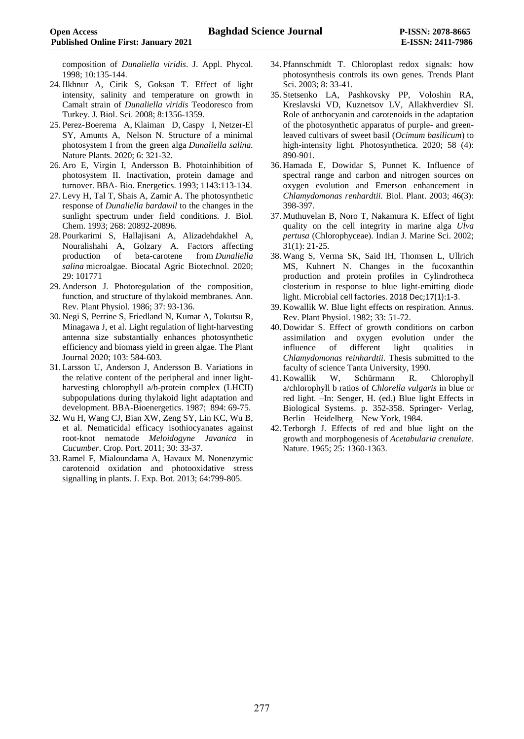composition of *Dunaliella viridis*. J. Appl. Phycol. 1998; 10:135-144.

- 24. Ilkhnur A, Cirik S, Goksan T. Effect of light intensity, salinity and temperature on growth in Camalt strain of *Dunaliella viridis* Teodoresco from Turkey. J. Biol. Sci. 2008; 8:1356-1359.
- 25. [Perez-Boerema](javascript:;) A, [Klaiman](javascript:;) D, [Caspy](javascript:;) I, [Netzer-El](javascript:;) SY, [Amunts](javascript:;) A, [Nelson](javascript:;) N. Structure of a minimal photosystem I from the green alga *Dunaliella salina.*  Nature Plants. 2020; 6: 321-32.
- 26. Aro E, Virgin I, Andersson B. Photoinhibition of photosystem II. Inactivation, protein damage and turnover. BBA- Bio. Energetics. 1993; 1143:113-134.
- 27. Levy H, Tal T, Shais A, Zamir A. The photosynthetic response of *Dunaliella bardawil* to the changes in the sunlight spectrum under field conditions. J. Biol. Chem. 1993; 268: 20892-20896.
- 28. [Pourkarimi](https://www.sciencedirect.com/science/article/abs/pii/S1878818120309646#!) S, [Hallajisani](https://www.sciencedirect.com/science/article/abs/pii/S1878818120309646#!) A, [Alizadehdakhel](https://www.sciencedirect.com/science/article/abs/pii/S1878818120309646#!) A, [Nouralishahi](https://www.sciencedirect.com/science/article/abs/pii/S1878818120309646#!) A, [Golzary](https://www.sciencedirect.com/science/article/abs/pii/S1878818120309646#!) A. Factors affecting production of beta-carotene from *Dunaliella salina* microalgae. Biocatal Agric Biotechnol. 2020; 29: 101771
- 29. Anderson J. Photoregulation of the composition, function, and structure of thylakoid membranes. Ann. Rev. Plant Physiol. 1986; 37: 93-136.
- 30. [Negi](https://onlinelibrary.wiley.com/action/doSearch?ContribAuthorStored=Negi%2C+Sangeeta) S, [Perrine](https://onlinelibrary.wiley.com/action/doSearch?ContribAuthorStored=Perrine%2C+Zoee) S, [Friedland](https://onlinelibrary.wiley.com/action/doSearch?ContribAuthorStored=Friedland%2C+Natalia) N, [Kumar](https://onlinelibrary.wiley.com/action/doSearch?ContribAuthorStored=Kumar%2C+Anil) A, [Tokutsu](https://onlinelibrary.wiley.com/action/doSearch?ContribAuthorStored=Tokutsu%2C+Ryutaro) R, [Minagawa](https://onlinelibrary.wiley.com/action/doSearch?ContribAuthorStored=Minagawa%2C+Jun) J, et al. Light regulation of light‐harvesting antenna size substantially enhances photosynthetic efficiency and biomass yield in green algae. The Plant Journal 2020; 103: 584-603.
- 31. Larsson U, Anderson J, Andersson B. Variations in the relative content of the peripheral and inner lightharvesting chlorophyll a/b-protein complex (LHCII) subpopulations during thylakoid light adaptation and development. BBA-Bioenergetics. 1987; 894: 69-75.
- 32. Wu H, Wang CJ, Bian XW, Zeng SY, Lin KC, Wu B, et al. Nematicidal efficacy isothiocyanates against root-knot nematode *Meloidogyne Javanica* in *Cucumber*. Crop. Port. 2011; 30: 33-37.
- 33. Ramel F, Mialoundama A, Havaux M. Nonenzymic carotenoid oxidation and photooxidative stress signalling in plants. J. Exp. Bot. 2013; 64:799-805.
- 34. Pfannschmidt T. Chloroplast redox signals: how photosynthesis controls its own genes. Trends Plant Sci. 2003; 8: 33-41.
- 35. Stetsenko LA, Pashkovsky PP, Voloshin RA, Kreslavski VD, Kuznetsov LV, Allakhverdiev SI. Role of anthocyanin and carotenoids in the adaptation of the photosynthetic apparatus of purple- and greenleaved cultivars of sweet basil (*Ocimum basilicum*) to high-intensity light. Photosynthetica. 2020; 58 (4): 890-901.
- 36. Hamada E, Dowidar S, Punnet K. Influence of spectral range and carbon and nitrogen sources on oxygen evolution and Emerson enhancement in *Chlamydomonas renhardtii*. Biol. Plant. 2003; 46(3): 398-397.
- 37. Muthuvelan B, Noro T, Nakamura K. Effect of light quality on the cell integrity in marine alga *Ulva pertusa* (Chlorophyceae). Indian J. Marine Sci. 2002; 31(1): 21-25.
- 38. Wang S, Verma SK, Said IH, Thomsen L, Ullrich MS, Kuhnert N. Changes in the fucoxanthin production and protein profiles in Cylindrotheca closterium in response to blue light-emitting diode light. Microbial cell factories. 2018 Dec;17(1):1-3.
- 39. Kowallik W. Blue light effects on respiration. Annus. Rev. Plant Physiol. 1982; 33: 51-72.
- 40. Dowidar S. Effect of growth conditions on carbon assimilation and oxygen evolution under the influence of different light qualities in *Chlamydomonas reinhardtii*. Thesis submitted to the faculty of science Tanta University, 1990.
- 41. Kowallik W, Schürmann R. Chlorophyll a/chlorophyll b ratios of *Chlorella vulgaris* in blue or red light. –In: Senger, H. (ed.) Blue light Effects in Biological Systems. p. 352-358. Springer- Verlag, Berlin – Heidelberg – New York, 1984.
- 42. Terborgh J. Effects of red and blue light on the growth and morphogenesis of *Acetabularia crenulate*. Nature. 1965; 25: 1360-1363.